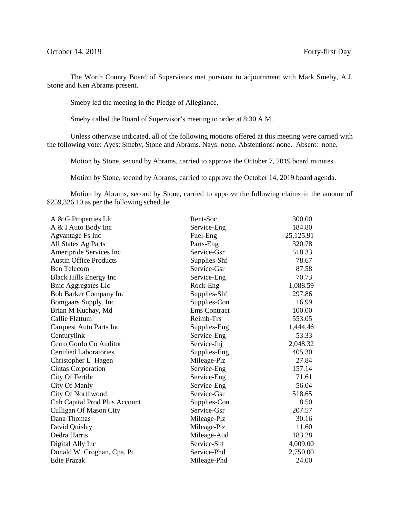The Worth County Board of Supervisors met pursuant to adjournment with Mark Smeby, A.J. Stone and Ken Abrams present.

Smeby led the meeting in the Pledge of Allegiance.

Smeby called the Board of Supervisor's meeting to order at 8:30 A.M.

Unless otherwise indicated, all of the following motions offered at this meeting were carried with the following vote: Ayes: Smeby, Stone and Abrams. Nays: none. Abstentions: none. Absent: none.

Motion by Stone, second by Abrams, carried to approve the October 7, 2019 board minutes.

Motion by Stone, second by Abrams, carried to approve the October 14, 2019 board agenda.

Motion by Abrams, second by Stone, carried to approve the following claims in the amount of \$259,326.10 as per the following schedule:

| A & G Properties Llc                 | Rent-Soc            | 300.00    |
|--------------------------------------|---------------------|-----------|
| A & I Auto Body Inc                  | Service-Eng         | 184.80    |
| Agvantage Fs Inc                     | Fuel-Eng            | 25,125.91 |
| All States Ag Parts                  | Parts-Eng           | 320.78    |
| Ameripride Services Inc              | Service-Gsr         | 518.33    |
| <b>Austin Office Products</b>        | Supplies-Shf        | 78.67     |
| <b>Bcn</b> Telecom                   | Service-Gsr         | 87.58     |
| <b>Black Hills Energy Inc</b>        | Service-Eng         | 70.73     |
| <b>Bmc Aggregates Llc</b>            | Rock-Eng            | 1,088.59  |
| <b>Bob Barker Company Inc</b>        | Supplies-Shf        | 297.86    |
| Bomgaars Supply, Inc                 | Supplies-Con        | 16.99     |
| Brian M Kuchay, Md                   | <b>Ems</b> Contract | 100.00    |
| Callie Flattum                       | Reimb-Trs           | 553.05    |
| <b>Carquest Auto Parts Inc</b>       | Supplies-Eng        | 1,444.46  |
| Centurylink                          | Service-Eng         | 53.33     |
| Cerro Gordo Co Auditor               | Service-Juj         | 2,048.32  |
| <b>Certified Laboratories</b>        | Supplies-Eng        | 405.30    |
| Christopher L Hagen                  | Mileage-Plz         | 27.84     |
| Cintas Corporation                   | Service-Eng         | 157.14    |
| City Of Fertile                      | Service-Eng         | 71.61     |
| City Of Manly                        | Service-Eng         | 56.04     |
| <b>City Of Northwood</b>             | Service-Gsr         | 518.65    |
| <b>Cnh Capital Prod Plus Account</b> | Supplies-Con        | 8.50      |
| <b>Culligan Of Mason City</b>        | Service-Gsr         | 207.57    |
| Dana Thomas                          | Mileage-Plz         | 30.16     |
| David Quisley                        | Mileage-Plz         | 11.60     |
| Dedra Harris                         | Mileage-Aud         | 183.28    |
| Digital Ally Inc                     | Service-Shf         | 4,009.00  |
| Donald W. Croghan, Cpa, Pc           | Service-Phd         | 2,750.00  |
| <b>Edie Prazak</b>                   | Mileage-Phd         | 24.00     |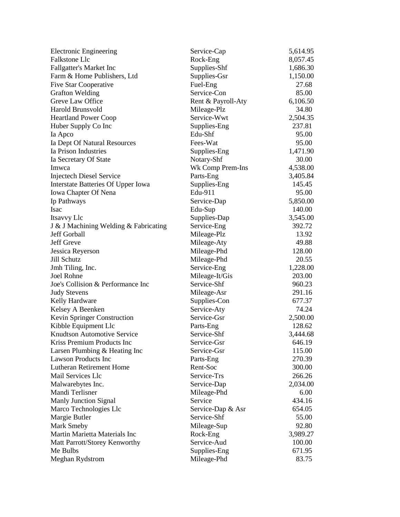| <b>Electronic Engineering</b>         | Service-Cap        | 5,614.95 |
|---------------------------------------|--------------------|----------|
| <b>Falkstone Llc</b>                  | Rock-Eng           | 8,057.45 |
| <b>Fallgatter's Market Inc</b>        | Supplies-Shf       | 1,686.30 |
| Farm & Home Publishers, Ltd           | Supplies-Gsr       | 1,150.00 |
| <b>Five Star Cooperative</b>          | Fuel-Eng           | 27.68    |
| <b>Grafton Welding</b>                | Service-Con        | 85.00    |
| Greve Law Office                      | Rent & Payroll-Aty | 6,106.50 |
| <b>Harold Brunsvold</b>               | Mileage-Plz        | 34.80    |
| <b>Heartland Power Coop</b>           | Service-Wwt        | 2,504.35 |
| Huber Supply Co Inc                   | Supplies-Eng       | 237.81   |
| Ia Apco                               | Edu-Shf            | 95.00    |
| Ia Dept Of Natural Resources          | Fees-Wat           | 95.00    |
| Ia Prison Industries                  | Supplies-Eng       | 1,471.90 |
| Ia Secretary Of State                 | Notary-Shf         | 30.00    |
| Imwca                                 | Wk Comp Prem-Ins   | 4,538.00 |
| <b>Injectech Diesel Service</b>       | Parts-Eng          | 3,405.84 |
| Interstate Batteries Of Upper Iowa    | Supplies-Eng       | 145.45   |
| Iowa Chapter Of Nena                  | Edu-911            | 95.00    |
| Ip Pathways                           | Service-Dap        | 5,850.00 |
| <b>Isac</b>                           | Edu-Sup            | 140.00   |
| Itsavvy Llc                           | Supplies-Dap       | 3,545.00 |
| J & J Machining Welding & Fabricating | Service-Eng        | 392.72   |
| Jeff Gorball                          | Mileage-Plz        | 13.92    |
| Jeff Greve                            | Mileage-Aty        | 49.88    |
| Jessica Reyerson                      | Mileage-Phd        | 128.00   |
| Jill Schutz                           | Mileage-Phd        | 20.55    |
| Jmh Tiling, Inc.                      | Service-Eng        | 1,228.00 |
| <b>Joel Rohne</b>                     | Mileage-It/Gis     | 203.00   |
| Joe's Collision & Performance Inc     | Service-Shf        | 960.23   |
| <b>Judy Stevens</b>                   | Mileage-Asr        | 291.16   |
| Kelly Hardware                        | Supplies-Con       | 677.37   |
| Kelsey A Beenken                      | Service-Aty        | 74.24    |
| Kevin Springer Construction           | Service-Gsr        | 2,500.00 |
| Kibble Equipment Llc                  | Parts-Eng          | 128.62   |
| <b>Knudtson Automotive Service</b>    | Service-Shf        | 3,444.68 |
| Kriss Premium Products Inc            | Service-Gsr        | 646.19   |
| Larsen Plumbing & Heating Inc         | Service-Gsr        | 115.00   |
| <b>Lawson Products Inc</b>            | Parts-Eng          | 270.39   |
| Lutheran Retirement Home              | Rent-Soc           | 300.00   |
| Mail Services Llc                     | Service-Trs        | 266.26   |
| Malwarebytes Inc.                     | Service-Dap        | 2,034.00 |
| Mandi Terlisner                       | Mileage-Phd        | 6.00     |
| Manly Junction Signal                 | Service            | 434.16   |
| Marco Technologies Llc                | Service-Dap & Asr  | 654.05   |
| Margie Butler                         | Service-Shf        | 55.00    |
| Mark Smeby                            | Mileage-Sup        | 92.80    |
| Martin Marietta Materials Inc         | Rock-Eng           | 3,989.27 |
| Matt Parrott/Storey Kenworthy         | Service-Aud        | 100.00   |
| Me Bulbs                              | Supplies-Eng       | 671.95   |
| Meghan Rydstrom                       | Mileage-Phd        | 83.75    |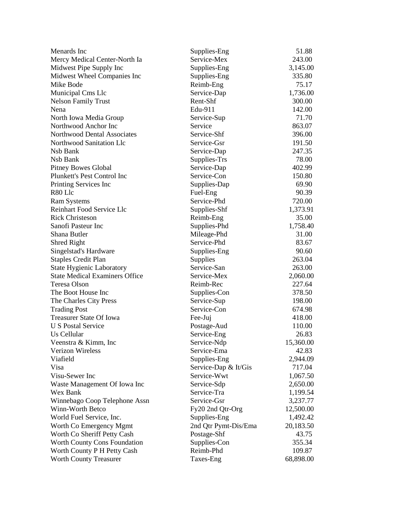| Menards Inc                           | Supplies-Eng         | 51.88     |
|---------------------------------------|----------------------|-----------|
| Mercy Medical Center-North Ia         | Service-Mex          | 243.00    |
| Midwest Pipe Supply Inc               | Supplies-Eng         | 3,145.00  |
| Midwest Wheel Companies Inc           | Supplies-Eng         | 335.80    |
| Mike Bode                             | Reimb-Eng            | 75.17     |
| Municipal Cms Llc                     | Service-Dap          | 1,736.00  |
| <b>Nelson Family Trust</b>            | Rent-Shf             | 300.00    |
| Nena                                  | Edu-911              | 142.00    |
| North Iowa Media Group                | Service-Sup          | 71.70     |
| Northwood Anchor Inc                  | Service              | 863.07    |
| Northwood Dental Associates           | Service-Shf          | 396.00    |
| Northwood Sanitation Llc              | Service-Gsr          | 191.50    |
| Nsb Bank                              | Service-Dap          | 247.35    |
| Nsb Bank                              | Supplies-Trs         | 78.00     |
| Pitney Bowes Global                   | Service-Dap          | 402.99    |
| Plunkett's Pest Control Inc           | Service-Con          | 150.80    |
| Printing Services Inc                 | Supplies-Dap         | 69.90     |
| R80 Llc                               | Fuel-Eng             | 90.39     |
| <b>Ram Systems</b>                    | Service-Phd          | 720.00    |
| <b>Reinhart Food Service Llc</b>      | Supplies-Shf         | 1,373.91  |
| <b>Rick Christeson</b>                | Reimb-Eng            | 35.00     |
| Sanofi Pasteur Inc                    | Supplies-Phd         | 1,758.40  |
| Shana Butler                          | Mileage-Phd          | 31.00     |
| Shred Right                           | Service-Phd          | 83.67     |
| Singelstad's Hardware                 | Supplies-Eng         | 90.60     |
| <b>Staples Credit Plan</b>            | Supplies             | 263.04    |
| <b>State Hygienic Laboratory</b>      | Service-San          | 263.00    |
| <b>State Medical Examiners Office</b> | Service-Mex          | 2,060.00  |
| Teresa Olson                          | Reimb-Rec            | 227.64    |
| The Boot House Inc                    | Supplies-Con         | 378.50    |
| The Charles City Press                | Service-Sup          | 198.00    |
| <b>Trading Post</b>                   | Service-Con          | 674.98    |
| <b>Treasurer State Of Iowa</b>        | Fee-Juj              | 418.00    |
| <b>U S Postal Service</b>             | Postage-Aud          | 110.00    |
| Us Cellular                           | Service-Eng          | 26.83     |
| Veenstra & Kimm, Inc                  | Service-Ndp          | 15,360.00 |
| <b>Verizon Wireless</b>               | Service-Ema          | 42.83     |
| Viafield                              | Supplies-Eng         | 2,944.09  |
| Visa                                  | Service-Dap & It/Gis | 717.04    |
| Visu-Sewer Inc                        | Service-Wwt          | 1,067.50  |
| Waste Management Of Iowa Inc          | Service-Sdp          | 2,650.00  |
| Wex Bank                              | Service-Tra          | 1,199.54  |
| Winnebago Coop Telephone Assn         | Service-Gsr          | 3,237.77  |
| Winn-Worth Betco                      | Fy20 2nd Qtr-Org     | 12,500.00 |
| World Fuel Service, Inc.              | Supplies-Eng         | 1,492.42  |
| Worth Co Emergency Mgmt               | 2nd Qtr Pymt-Dis/Ema | 20,183.50 |
| Worth Co Sheriff Petty Cash           | Postage-Shf          | 43.75     |
| Worth County Cons Foundation          | Supplies-Con         | 355.34    |
| Worth County P H Petty Cash           | Reimb-Phd            | 109.87    |
| <b>Worth County Treasurer</b>         | Taxes-Eng            | 68,898.00 |
|                                       |                      |           |